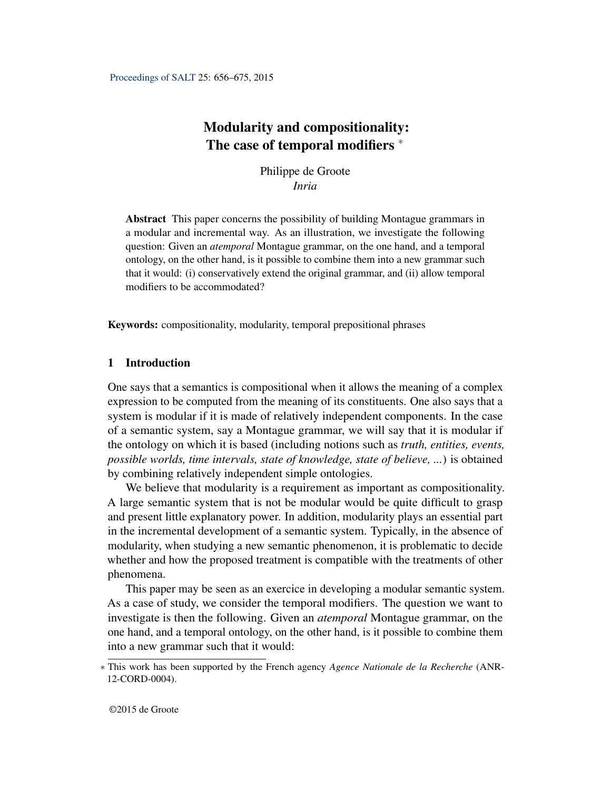# <span id="page-0-0"></span>Modularity and compositionality: The case of temporal modifiers  $*$

Philippe de Groote *Inria*

Abstract This paper concerns the possibility of building Montague grammars in a modular and incremental way. As an illustration, we investigate the following question: Given an *atemporal* Montague grammar, on the one hand, and a temporal ontology, on the other hand, is it possible to combine them into a new grammar such that it would: (i) conservatively extend the original grammar, and (ii) allow temporal modifiers to be accommodated?

Keywords: compositionality, modularity, temporal prepositional phrases

## 1 Introduction

One says that a semantics is compositional when it allows the meaning of a complex expression to be computed from the meaning of its constituents. One also says that a system is modular if it is made of relatively independent components. In the case of a semantic system, say a Montague grammar, we will say that it is modular if the ontology on which it is based (including notions such as *truth, entities, events, possible worlds, time intervals, state of knowledge, state of believe, ...*) is obtained by combining relatively independent simple ontologies.

We believe that modularity is a requirement as important as compositionality. A large semantic system that is not be modular would be quite difficult to grasp and present little explanatory power. In addition, modularity plays an essential part in the incremental development of a semantic system. Typically, in the absence of modularity, when studying a new semantic phenomenon, it is problematic to decide whether and how the proposed treatment is compatible with the treatments of other phenomena.

This paper may be seen as an exercice in developing a modular semantic system. As a case of study, we consider the temporal modifiers. The question we want to investigate is then the following. Given an *atemporal* Montague grammar, on the one hand, and a temporal ontology, on the other hand, is it possible to combine them into a new grammar such that it would:

<sup>∗</sup> This work has been supported by the French agency *Agence Nationale de la Recherche* (ANR-12-CORD-0004).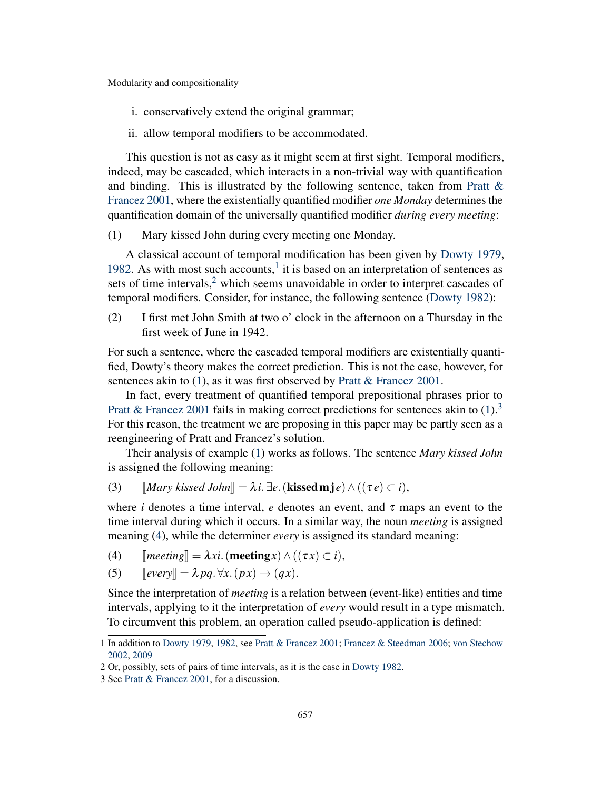i. conservatively extend the original grammar;

ii. allow temporal modifiers to be accommodated.

This question is not as easy as it might seem at first sight. Temporal modifiers, indeed, may be cascaded, which interacts in a non-trivial way with quantification and binding. This is illustrated by the following sentence, taken from Pratt  $\&$ [Francez](#page-18-0) [2001,](#page-18-0) where the existentially quantified modifier *one Monday* determines the quantification domain of the universally quantified modifier *during every meeting*:

<span id="page-1-0"></span>(1) Mary kissed John during every meeting one Monday.

A classical account of temporal modification has been given by [Dowty](#page-18-1) [1979,](#page-18-1) [1982.](#page-18-2) As with most such accounts, $<sup>1</sup>$  $<sup>1</sup>$  $<sup>1</sup>$  it is based on an interpretation of sentences as</sup> sets of time intervals, $<sup>2</sup>$  $<sup>2</sup>$  $<sup>2</sup>$  which seems unavoidable in order to interpret cascades of</sup> temporal modifiers. Consider, for instance, the following sentence [\(Dowty](#page-18-2) [1982\)](#page-18-2):

(2) I first met John Smith at two o' clock in the afternoon on a Thursday in the first week of June in 1942.

For such a sentence, where the cascaded temporal modifiers are existentially quantified, Dowty's theory makes the correct prediction. This is not the case, however, for sentences akin to [\(1\)](#page-1-0), as it was first observed by [Pratt & Francez](#page-18-0) [2001.](#page-18-0)

In fact, every treatment of quantified temporal prepositional phrases prior to [Pratt & Francez](#page-18-0) [2001](#page-18-0) fails in making correct predictions for sentences akin to  $(1)$ .<sup>[3](#page-0-0)</sup> For this reason, the treatment we are proposing in this paper may be partly seen as a reengineering of Pratt and Francez's solution.

Their analysis of example [\(1\)](#page-1-0) works as follows. The sentence *Mary kissed John* is assigned the following meaning:

<span id="page-1-2"></span>(3)  $\llbracket \text{Mary kissed John} \rrbracket = \lambda i. \exists e. (\text{kissed m} \cdot j e) \wedge ((\tau e) \subset i),$ 

where *i* denotes a time interval, *e* denotes an event, and  $\tau$  maps an event to the time interval during which it occurs. In a similar way, the noun *meeting* is assigned meaning [\(4\)](#page-1-1), while the determiner *every* is assigned its standard meaning:

<span id="page-1-1"></span>(4)  $\mathbb{I}$ *meeting* $\mathbb{I} = \lambda xi$ . (**meeting***x*)  $\wedge$  (( $\tau x$ )  $\subset i$ ),

(5) 
$$
[every] = \lambda pq. \forall x. (px) \rightarrow (qx).
$$

Since the interpretation of *meeting* is a relation between (event-like) entities and time intervals, applying to it the interpretation of *every* would result in a type mismatch. To circumvent this problem, an operation called pseudo-application is defined:

<sup>1</sup> In addition to [Dowty](#page-18-1) [1979,](#page-18-1) [1982,](#page-18-2) see [Pratt & Francez](#page-18-0) [2001;](#page-18-0) [Francez & Steedman](#page-18-3) [2006;](#page-18-3) [von Stechow](#page-18-4) [2002,](#page-18-4) [2009](#page-18-5)

<sup>2</sup> Or, possibly, sets of pairs of time intervals, as it is the case in [Dowty](#page-18-2) [1982.](#page-18-2)

<sup>3</sup> See [Pratt & Francez](#page-18-0) [2001,](#page-18-0) for a discussion.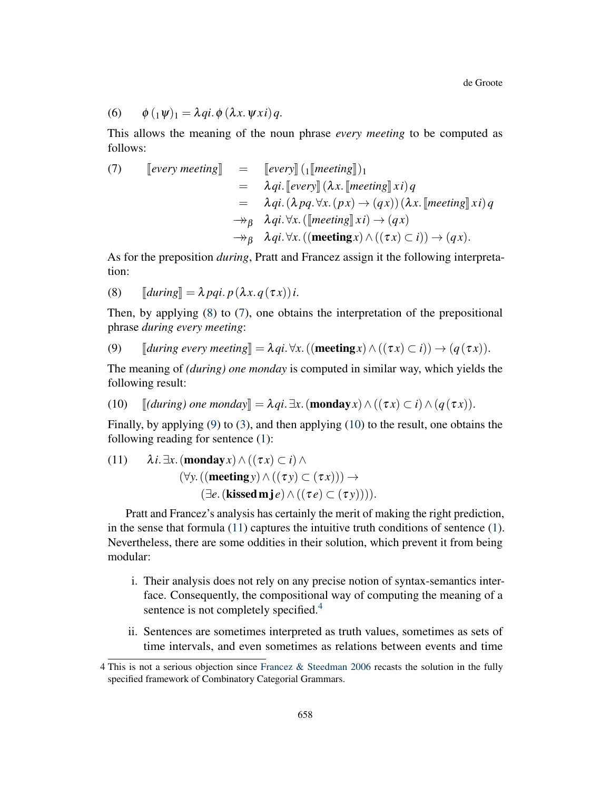$$
(6) \qquad \phi\left({_{1}\psi}\right)_{1} = \lambda qi.\,\phi\left(\lambda x.\,\psi\,xi\right)q.
$$

This allows the meaning of the noun phrase *every meeting* to be computed as follows:

<span id="page-2-1"></span>(7) 
$$
\begin{array}{rcl}\n\text{[every meeting]} & = & \text{[every] } (1[\text{mecting}])_1 \\
& = & \lambda qi. \text{[every] } (\lambda x. \text{[mecting]} x i) q \\
& = & \lambda qi. (\lambda pq. \forall x. (px) \rightarrow (qx)) (\lambda x. \text{[mecting]} x i) q \\
& \rightarrow_{\beta} & \lambda qi. \forall x. \text{([mecting]} x i) \rightarrow (qx) \\
& \rightarrow_{\beta} & \lambda qi. \forall x. \text{((mecting } x) \land ((\tau x) \subset i)) \rightarrow (qx).\n\end{array}
$$

As for the preposition *during*, Pratt and Francez assign it the following interpretation:

<span id="page-2-0"></span>(8)  $\llbracket \text{during} \rrbracket = \lambda \text{ pqi. } p(\lambda x. q(\tau x))$ *i*.

Then, by applying [\(8\)](#page-2-0) to [\(7\)](#page-2-1), one obtains the interpretation of the prepositional phrase *during every meeting*:

<span id="page-2-2"></span>(9) 
$$
\llbracket \text{during every meeting} \rrbracket = \lambda qi. \forall x. ((\text{meeting } x) \land ((\tau x) \subset i)) \rightarrow (q(\tau x)).
$$

The meaning of *(during) one monday* is computed in similar way, which yields the following result:

<span id="page-2-3"></span>(10)  $\left[$ *(during) one monday* $\left[ = \lambda qi. \exists x.(\text{monday }x) \wedge ((\tau x) \subset i) \wedge (q(\tau x)) \right].$ 

Finally, by applying [\(9\)](#page-2-2) to [\(3\)](#page-1-2), and then applying [\(10\)](#page-2-3) to the result, one obtains the following reading for sentence [\(1\)](#page-1-0):

<span id="page-2-4"></span>(11) 
$$
\lambda i. \exists x. (\text{monday } x) \land ((\tau x) \subset i) \land
$$
  
\n $(\forall y. ((\text{meeting } y) \land ((\tau y) \subset (\tau x))) \rightarrow$   
\n $(\exists e. (\text{kised m} j e) \land ((\tau e) \subset (\tau y))))$ .

Pratt and Francez's analysis has certainly the merit of making the right prediction, in the sense that formula  $(11)$  captures the intuitive truth conditions of sentence  $(1)$ . Nevertheless, there are some oddities in their solution, which prevent it from being modular:

- i. Their analysis does not rely on any precise notion of syntax-semantics interface. Consequently, the compositional way of computing the meaning of a sentence is not completely specified.<sup>[4](#page-0-0)</sup>
- ii. Sentences are sometimes interpreted as truth values, sometimes as sets of time intervals, and even sometimes as relations between events and time

<sup>4</sup> This is not a serious objection since [Francez & Steedman](#page-18-3) [2006](#page-18-3) recasts the solution in the fully specified framework of Combinatory Categorial Grammars.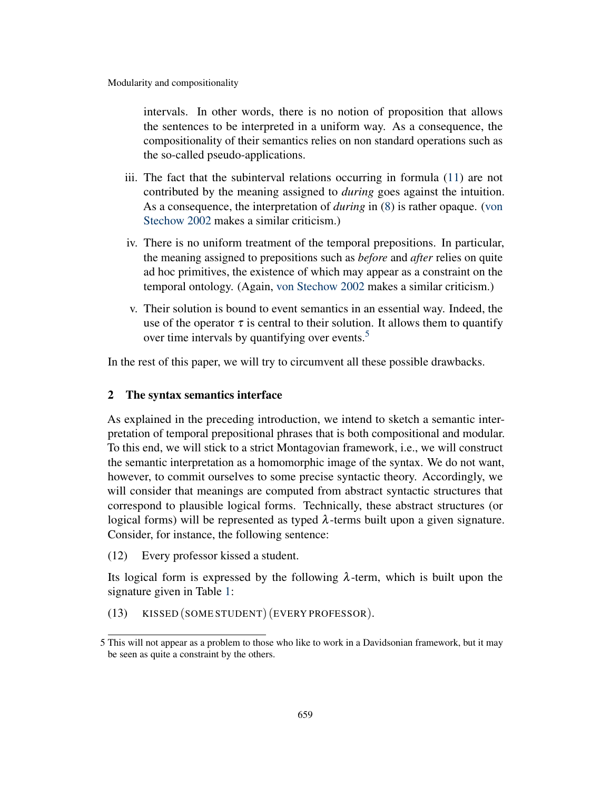intervals. In other words, there is no notion of proposition that allows the sentences to be interpreted in a uniform way. As a consequence, the compositionality of their semantics relies on non standard operations such as the so-called pseudo-applications.

- iii. The fact that the subinterval relations occurring in formula [\(11\)](#page-2-4) are not contributed by the meaning assigned to *during* goes against the intuition. As a consequence, the interpretation of *during* in [\(8\)](#page-2-0) is rather opaque. [\(von](#page-18-4) [Stechow](#page-18-4) [2002](#page-18-4) makes a similar criticism.)
- iv. There is no uniform treatment of the temporal prepositions. In particular, the meaning assigned to prepositions such as *before* and *after* relies on quite ad hoc primitives, the existence of which may appear as a constraint on the temporal ontology. (Again, [von Stechow](#page-18-4) [2002](#page-18-4) makes a similar criticism.)
- v. Their solution is bound to event semantics in an essential way. Indeed, the use of the operator  $\tau$  is central to their solution. It allows them to quantify over time intervals by quantifying over events.<sup>[5](#page-0-0)</sup>

In the rest of this paper, we will try to circumvent all these possible drawbacks.

# 2 The syntax semantics interface

As explained in the preceding introduction, we intend to sketch a semantic interpretation of temporal prepositional phrases that is both compositional and modular. To this end, we will stick to a strict Montagovian framework, i.e., we will construct the semantic interpretation as a homomorphic image of the syntax. We do not want, however, to commit ourselves to some precise syntactic theory. Accordingly, we will consider that meanings are computed from abstract syntactic structures that correspond to plausible logical forms. Technically, these abstract structures (or logical forms) will be represented as typed  $λ$ -terms built upon a given signature. Consider, for instance, the following sentence:

<span id="page-3-1"></span>(12) Every professor kissed a student.

Its logical form is expressed by the following  $\lambda$ -term, which is built upon the signature given in Table [1:](#page-4-0)

<span id="page-3-0"></span>(13) KISSED (SOME STUDENT) (EVERY PROFESSOR).

<sup>5</sup> This will not appear as a problem to those who like to work in a Davidsonian framework, but it may be seen as quite a constraint by the others.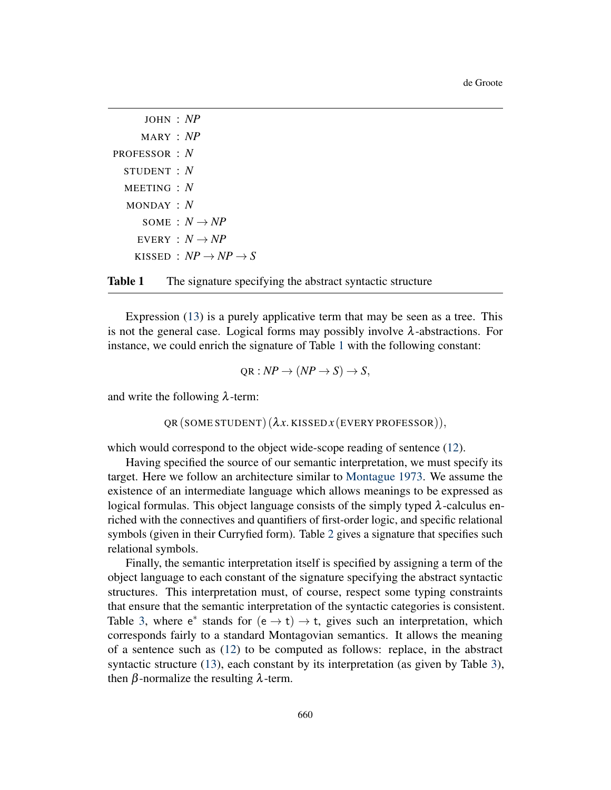```
JOHN : NP
      MARY : NP
PROFESSOR : N
  STUDENT : N
  MEETING : N
  MONDAY : N
      SOME : N \rightarrow NPEVERY : N \rightarrow NPKISSED : NP \rightarrow NP \rightarrow S
```


Expression [\(13\)](#page-3-0) is a purely applicative term that may be seen as a tree. This is not the general case. Logical forms may possibly involve  $\lambda$ -abstractions. For instance, we could enrich the signature of Table [1](#page-4-0) with the following constant:

$$
QR: NP \to (NP \to S) \to S,
$$

and write the following  $\lambda$ -term:

QR (SOME STUDENT) (λ*x*. KISSED *x* (EVERY PROFESSOR)),

which would correspond to the object wide-scope reading of sentence [\(12\)](#page-3-1).

Having specified the source of our semantic interpretation, we must specify its target. Here we follow an architecture similar to [Montague](#page-18-6) [1973.](#page-18-6) We assume the existence of an intermediate language which allows meanings to be expressed as logical formulas. This object language consists of the simply typed  $\lambda$ -calculus enriched with the connectives and quantifiers of first-order logic, and specific relational symbols (given in their Curryfied form). Table [2](#page-5-0) gives a signature that specifies such relational symbols.

Finally, the semantic interpretation itself is specified by assigning a term of the object language to each constant of the signature specifying the abstract syntactic structures. This interpretation must, of course, respect some typing constraints that ensure that the semantic interpretation of the syntactic categories is consistent. Table [3,](#page-5-1) where  $e^*$  stands for  $(e \rightarrow t) \rightarrow t$ , gives such an interpretation, which corresponds fairly to a standard Montagovian semantics. It allows the meaning of a sentence such as [\(12\)](#page-3-1) to be computed as follows: replace, in the abstract syntactic structure [\(13\)](#page-3-0), each constant by its interpretation (as given by Table [3\)](#page-5-1), then β-normalize the resulting  $λ$ -term.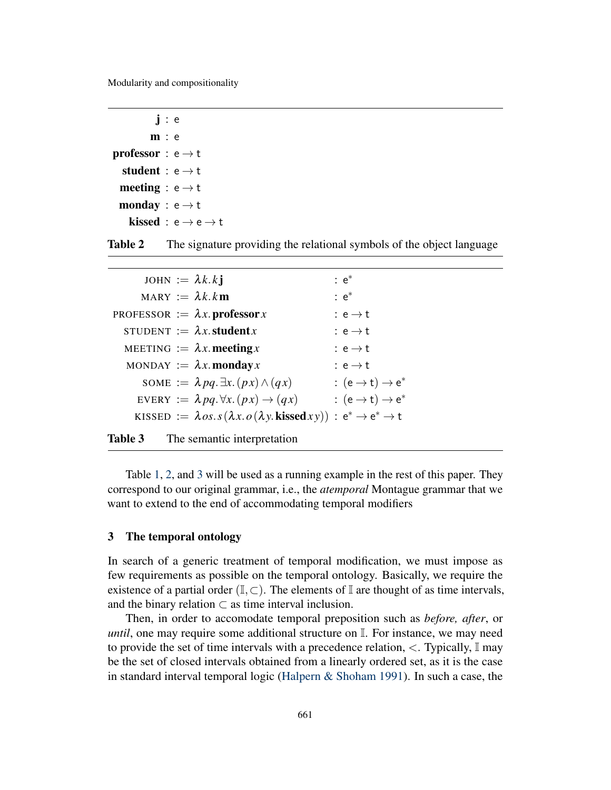<span id="page-5-0"></span>j : e m : e **professor** :  $e \rightarrow t$ student :  $e \rightarrow t$ meeting :  $e \rightarrow t$ monday :  $e \rightarrow t$ kissed : e  $\rightarrow$  e  $\rightarrow$  t

**Table 2** The signature providing the relational symbols of the object language

<span id="page-5-1"></span>

| JOHN := $\lambda k.kj$ |                                                                                                                    | $\colon e^*$                          |
|------------------------|--------------------------------------------------------------------------------------------------------------------|---------------------------------------|
|                        | MARY $:= \lambda k.km$                                                                                             | $\colon e^*$                          |
|                        | PROFESSOR := $\lambda x.$ professor x                                                                              | : $e \rightarrow t$                   |
|                        | STUDENT := $\lambda x$ . student x                                                                                 | : $e \rightarrow t$                   |
|                        | MEETING := $\lambda x$ meeting x                                                                                   | : $e \rightarrow t$                   |
|                        | MONDAY := $\lambda x$ . monday x                                                                                   | : $e \rightarrow t$                   |
|                        | SOME := $\lambda pq. \exists x. (px) \wedge (qx)$                                                                  | : $(e \rightarrow t) \rightarrow e^*$ |
|                        | EVERY := $\lambda pq. \forall x. (px) \rightarrow (qx)$                                                            | : $(e \rightarrow t) \rightarrow e^*$ |
|                        | KISSED := $\lambda$ os.s( $\lambda x.$ o( $\lambda y.$ <b>kissed</b> $xy$ )) : $e^* \rightarrow e^* \rightarrow t$ |                                       |
|                        |                                                                                                                    |                                       |



Table [1,](#page-4-0) [2,](#page-5-0) and [3](#page-5-1) will be used as a running example in the rest of this paper. They correspond to our original grammar, i.e., the *atemporal* Montague grammar that we want to extend to the end of accommodating temporal modifiers

#### 3 The temporal ontology

In search of a generic treatment of temporal modification, we must impose as few requirements as possible on the temporal ontology. Basically, we require the existence of a partial order  $(I, \subset)$ . The elements of I are thought of as time intervals, and the binary relation  $\subset$  as time interval inclusion.

Then, in order to accomodate temporal preposition such as *before, after*, or *until*, one may require some additional structure on  $\mathbb{I}$ . For instance, we may need to provide the set of time intervals with a precedence relation,  $\lt$ . Typically,  $\mathbb{I}$  may be the set of closed intervals obtained from a linearly ordered set, as it is the case in standard interval temporal logic [\(Halpern & Shoham](#page-18-7) [1991\)](#page-18-7). In such a case, the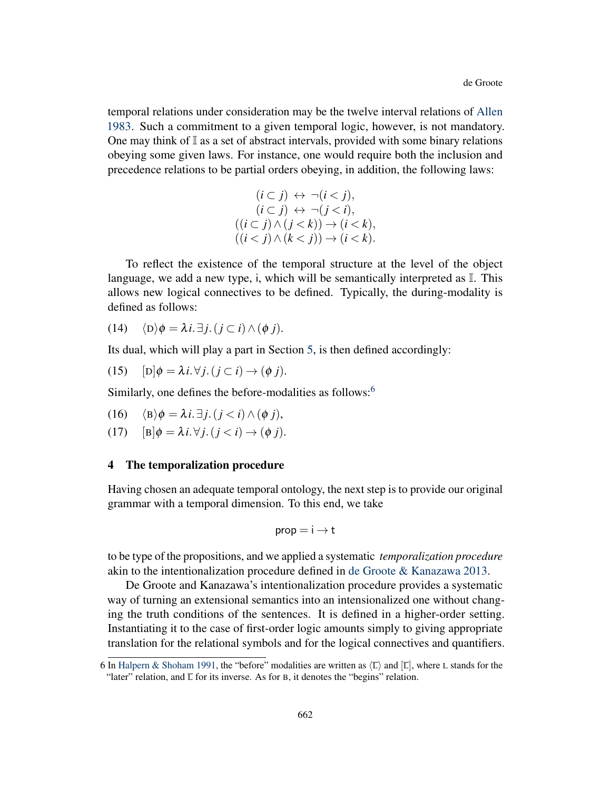temporal relations under consideration may be the twelve interval relations of [Allen](#page-17-0) [1983.](#page-17-0) Such a commitment to a given temporal logic, however, is not mandatory. One may think of  $\mathbb I$  as a set of abstract intervals, provided with some binary relations obeying some given laws. For instance, one would require both the inclusion and precedence relations to be partial orders obeying, in addition, the following laws:

$$
(i \subset j) \leftrightarrow \neg(i < j),
$$
  
\n
$$
(i \subset j) \leftrightarrow \neg(j < i),
$$
  
\n
$$
((i \subset j) \land (j < k)) \to (i < k),
$$
  
\n
$$
((i < j) \land (k < j)) \to (i < k).
$$

To reflect the existence of the temporal structure at the level of the object language, we add a new type, i, which will be semantically interpreted as  $\mathbb{I}$ . This allows new logical connectives to be defined. Typically, the during-modality is defined as follows:

(14) 
$$
\langle D \rangle \phi = \lambda i. \exists j. (j \subset i) \land (\phi j).
$$

Its dual, which will play a part in Section [5,](#page-8-0) is then defined accordingly:

(15) 
$$
[D]\phi = \lambda i. \forall j. (j \subset i) \rightarrow (\phi j).
$$

Similarly, one defines the before-modalities as follows:<sup>[6](#page-0-0)</sup>

(16) 
$$
\langle \mathbf{B} \rangle \phi = \lambda i. \exists j. (j < i) \land (\phi j),
$$

(17)  $[B]\phi = \lambda i.\forall j. (j < i) \rightarrow (\phi j).$ 

#### <span id="page-6-0"></span>4 The temporalization procedure

Having chosen an adequate temporal ontology, the next step is to provide our original grammar with a temporal dimension. To this end, we take

$$
prop = i \rightarrow t
$$

to be type of the propositions, and we applied a systematic *temporalization procedure* akin to the intentionalization procedure defined in [de Groote & Kanazawa](#page-18-8) [2013.](#page-18-8)

De Groote and Kanazawa's intentionalization procedure provides a systematic way of turning an extensional semantics into an intensionalized one without changing the truth conditions of the sentences. It is defined in a higher-order setting. Instantiating it to the case of first-order logic amounts simply to giving appropriate translation for the relational symbols and for the logical connectives and quantifiers.

<sup>6</sup> In [Halpern & Shoham](#page-18-7) [1991,](#page-18-7) the "before" modalities are written as  $\langle \overline{L} \rangle$  and  $\langle \overline{L} \rangle$ , where L stands for the "later" relation, and  $\overline{L}$  for its inverse. As for B, it denotes the "begins" relation.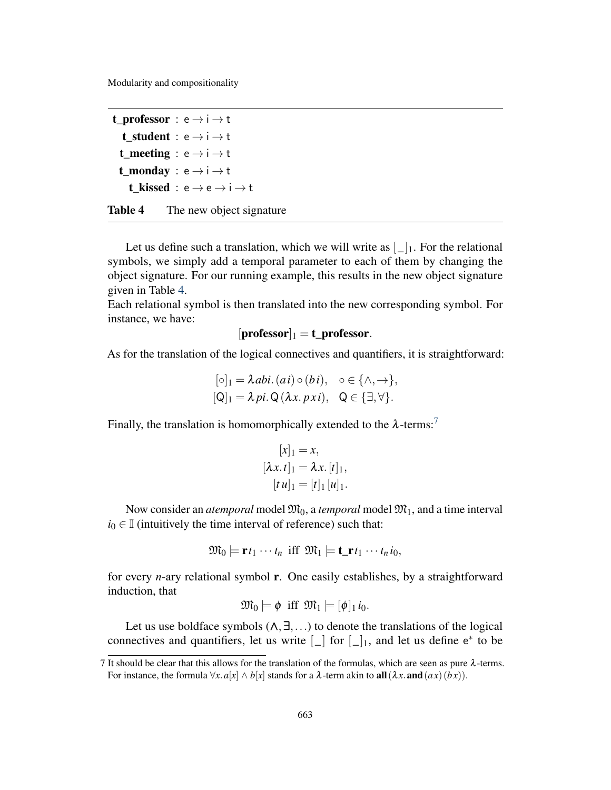```
t_professor : e \rightarrow i \rightarrow tt_student : e \rightarrow i \rightarrow tt_meeting : e \rightarrow i \rightarrow tt monday : e \rightarrow i \rightarrow tt kissed : e \rightarrow e \rightarrow i \rightarrow t
```
Table 4 The new object signature

Let us define such a translation, which we will write as  $\lfloor \_ \rfloor_1$ . For the relational symbols, we simply add a temporal parameter to each of them by changing the object signature. For our running example, this results in the new object signature given in Table [4.](#page-7-0)

Each relational symbol is then translated into the new corresponding symbol. For instance, we have:

$$
[professor]_1 = t\_professor.
$$

As for the translation of the logical connectives and quantifiers, it is straightforward:

$$
[\circ]_1 = \lambda \text{abi.} (ai) \circ (bi), \quad \circ \in \{\land, \to\},
$$
  

$$
[\mathsf{Q}]_1 = \lambda \text{pi.} \mathsf{Q} (\lambda x. \text{pxi}), \quad \mathsf{Q} \in \{\exists, \forall\}.
$$

Finally, the translation is homomorphically extended to the  $\lambda$ -terms:<sup>[7](#page-0-0)</sup>

$$
[x]_1 = x,
$$
  
\n
$$
[\lambda x. t]_1 = \lambda x. [t]_1,
$$
  
\n
$$
[t u]_1 = [t]_1 [u]_1.
$$

Now consider an *atemporal* model  $\mathfrak{M}_0$ , a *temporal* model  $\mathfrak{M}_1$ , and a time interval  $i_0 \in \mathbb{I}$  (intuitively the time interval of reference) such that:

$$
\mathfrak{M}_0\models \mathbf{r}t_1\cdots t_n \ \text{iff} \ \mathfrak{M}_1\models \mathbf{t}\_mathbf{r}t_1\cdots t_n i_0,
$$

for every *n*-ary relational symbol r. One easily establishes, by a straightforward induction, that

$$
\mathfrak{M}_0 \models \phi \ \text{ iff } \mathfrak{M}_1 \models [\phi]_1 \, i_0.
$$

Let us use boldface symbols  $(\wedge, \exists, \ldots)$  to denote the translations of the logical connectives and quantifiers, let us write  $\lfloor \_ \rfloor$  for  $\lfloor \_ \rfloor$ , and let us define  $e^*$  to be

<sup>7</sup> It should be clear that this allows for the translation of the formulas, which are seen as pure λ-terms. For instance, the formula  $\forall x. a[x] \wedge b[x]$  stands for a  $\lambda$ -term akin to **all**  $(\lambda x.$  **and**  $(ax)(bx))$ .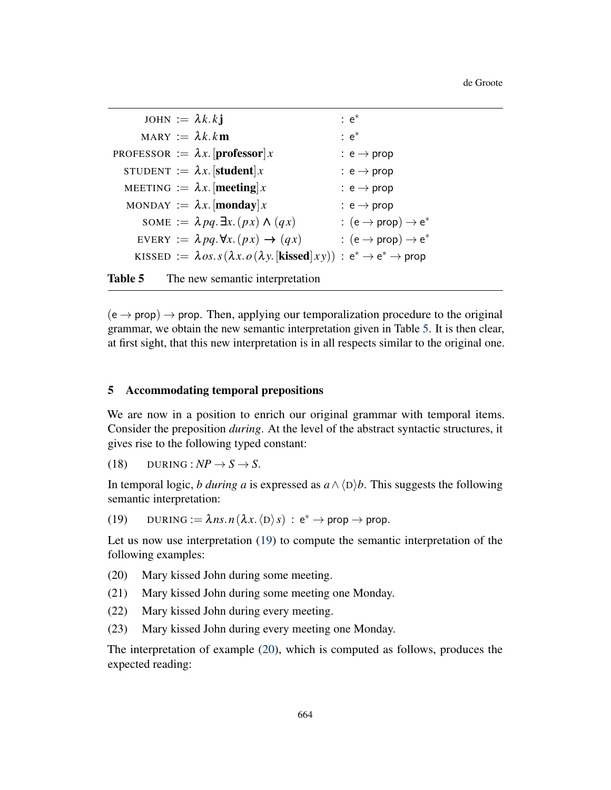<span id="page-8-1"></span>de Groote

|  | JOHN := $\lambda k.kj$                                                                                                               | $: e^*$                                  |
|--|--------------------------------------------------------------------------------------------------------------------------------------|------------------------------------------|
|  | MARY := $\lambda k.km$                                                                                                               | $: e^*$                                  |
|  | PROFESSOR := $\lambda x$ . [professor] x                                                                                             | : $e \rightarrow prop$                   |
|  | STUDENT := $\lambda x$ . [student] x                                                                                                 | $: e \rightarrow prop$                   |
|  | MEETING $:= \lambda x$ . [meeting] x                                                                                                 | $: e \rightarrow prop$                   |
|  | MONDAY := $\lambda x$ . [monday] x                                                                                                   | $: e \rightarrow prop$                   |
|  | SOME := $\lambda pq.\exists x.(px) \wedge (qx)$                                                                                      | : $(e \rightarrow prop) \rightarrow e^*$ |
|  | EVERY := $\lambda pq.\forall x.(px) \rightarrow (qx)$                                                                                | : $(e \rightarrow prop) \rightarrow e^*$ |
|  | KISSED := $\lambda$ os.s( $\lambda x.$ o( $\lambda y$ .[kissed]xy)) : e <sup>*</sup> $\rightarrow$ e <sup>*</sup> $\rightarrow$ prop |                                          |
|  |                                                                                                                                      |                                          |

Table 5 The new semantic interpretation

 $(e \rightarrow prop) \rightarrow prop.$  Then, applying our temporalization procedure to the original grammar, we obtain the new semantic interpretation given in Table [5.](#page-8-1) It is then clear, at first sight, that this new interpretation is in all respects similar to the original one.

## <span id="page-8-0"></span>5 Accommodating temporal prepositions

We are now in a position to enrich our original grammar with temporal items. Consider the preposition *during*. At the level of the abstract syntactic structures, it gives rise to the following typed constant:

 $(18)$  DURING :  $NP \rightarrow S \rightarrow S$ .

In temporal logic, *b during a* is expressed as  $a \wedge \langle D \rangle b$ . This suggests the following semantic interpretation:

<span id="page-8-2"></span>(19) DURING :=  $\lambda$ *ns*. *n*( $\lambda$ *x*.  $\langle D \rangle$ *s*) : e<sup>\*</sup>  $\rightarrow$  prop  $\rightarrow$  prop.

Let us now use interpretation [\(19\)](#page-8-2) to compute the semantic interpretation of the following examples:

- <span id="page-8-3"></span>(20) Mary kissed John during some meeting.
- <span id="page-8-4"></span>(21) Mary kissed John during some meeting one Monday.
- <span id="page-8-5"></span>(22) Mary kissed John during every meeting.
- <span id="page-8-6"></span>(23) Mary kissed John during every meeting one Monday.

The interpretation of example [\(20\)](#page-8-3), which is computed as follows, produces the expected reading: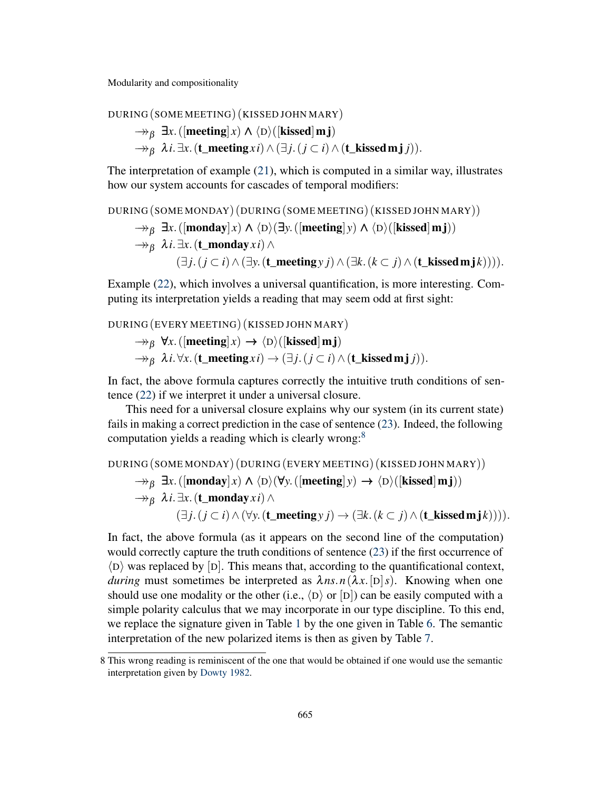DURING (SOME MEETING) (KISSED JOHN MARY)

 $\rightarrow$ <sup>*8*</sup> $\exists$ *x*. ([meeting] *x*)  $\land$   $\langle D \rangle$ ([kissed]m j)  $\rightarrow$ <sup>*8*</sup>β  $\lambda$ *i*.  $\exists$ *x*. (**t\_meeting***xi*) ∧ ( $\exists$ *j*. (*j* ⊂ *i*) ∧ (**t\_kissed m j** *j*)).

The interpretation of example [\(21\)](#page-8-4), which is computed in a similar way, illustrates how our system accounts for cascades of temporal modifiers:

DURING (SOME MONDAY) (DURING (SOME MEETING) (KISSED JOHN MARY))

 $\rightarrow$ <sub>*β*</sub>  $\exists$ *x*.([monday] *x*)  $\land$   $\langle$ D $\rangle$ ( $\exists$ *y*.([meeting] *y*)  $\land$   $\langle$ D $\rangle$ ([kissed] m j))

$$
\rightarrow\!\!\!\!\rightarrow_{\beta}\lambda i.\exists x. (\textbf{t\_monday} x i) \wedge
$$

 $(∃ *i*.$  $(*i* ⊂ *i*) ∧ (∃ *y*.$  $(**t** meeting *y i*) ∧ (∃ *k*.$  $(*k* ⊂ *j*) ∧ (**t**_kised mj*k*))))$ .

Example [\(22\)](#page-8-5), which involves a universal quantification, is more interesting. Computing its interpretation yields a reading that may seem odd at first sight:

DURING (EVERY MEETING) (KISSED JOHN MARY)  $\rightarrow$ <sub>*B*</sub>  $\forall$ *x*. ([meeting]*x*)  $\rightarrow$   $\langle$ D $\rangle$ ([kissed]m**j**)  $\rightarrow$ <sub>*B*</sub>  $\lambda i.\forall x.(\mathbf{t\_meeting} x i) \rightarrow (\exists j. (j \subset i) \wedge (\mathbf{t\_kised m} j j)).$ 

In fact, the above formula captures correctly the intuitive truth conditions of sentence [\(22\)](#page-8-5) if we interpret it under a universal closure.

This need for a universal closure explains why our system (in its current state) fails in making a correct prediction in the case of sentence [\(23\)](#page-8-6). Indeed, the following computation yields a reading which is clearly wrong:<sup>[8](#page-0-0)</sup>

```
DURING (SOME MONDAY) (DURING (EVERY MEETING) (KISSED JOHN MARY))
       \rightarrow<sub>B</sub> \exists x.([monday] x) \land \langle D \rangle(\forall y. ([meeting] y) \rightarrow \langle D \rangle([kissed] m j))
       →→β λi.∃x.(t_mondayxi)∧
                   (\exists j. (j ⊂ i) ∧ (\forall y. (\textbf{t\_meeting } y j) → (\exists k. (k ⊂ j) ∧ (\textbf{t\_kised } m j k)))).
```
In fact, the above formula (as it appears on the second line of the computation) would correctly capture the truth conditions of sentence [\(23\)](#page-8-6) if the first occurrence of  $\langle D \rangle$  was replaced by [D]. This means that, according to the quantificational context, *during* must sometimes be interpreted as  $\lambda ns.n(\lambda x. [D]s)$ . Knowing when one should use one modality or the other (i.e.,  $\langle D \rangle$  or  $[D]$ ) can be easily computed with a simple polarity calculus that we may incorporate in our type discipline. To this end, we replace the signature given in Table [1](#page-4-0) by the one given in Table [6.](#page-10-0) The semantic interpretation of the new polarized items is then as given by Table [7.](#page-11-0)

<sup>8</sup> This wrong reading is reminiscent of the one that would be obtained if one would use the semantic interpretation given by [Dowty](#page-18-2) [1982.](#page-18-2)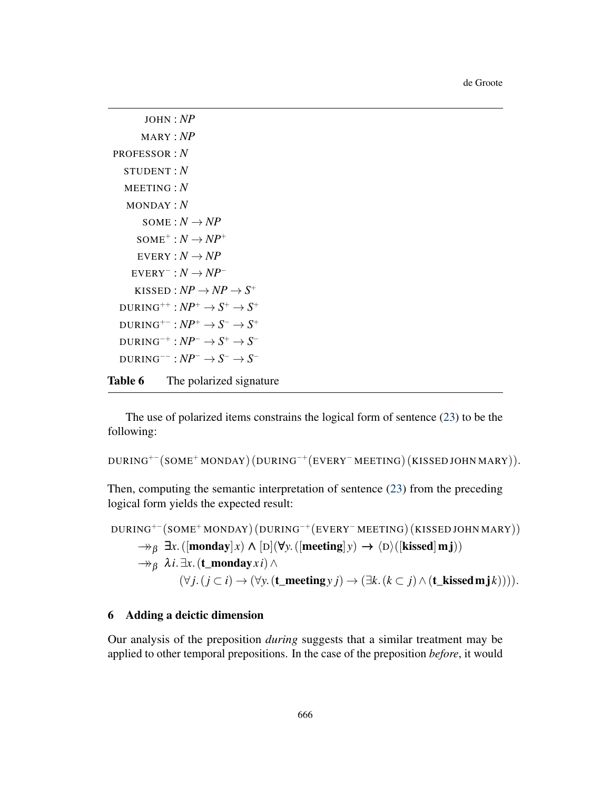```
JOHN : NP
           MARY : NP
  PROFESSOR : N
      STUDENT : N
      MEETING : N
      MONDAY : N
            SOME : N \rightarrow NPSOME^+ : N \rightarrow NP^+EVERY: N \rightarrow NPEVERY^- : N \rightarrow NP^-KISSED : NP \rightarrow NP \rightarrow S^+\text{DURING}^{++}: \textcolor{blue}{NP^+} \rightarrow \textcolor{blue}{S^+} \rightarrow \textcolor{blue}{S^+}\text{DURING}^{+-}: \textit{NP}^+ \rightarrow \textit{S}^- \rightarrow \textit{S}^+\text{DURING}^{-+}: \textit{NP}^{-} \rightarrow \textit{S}^{+} \rightarrow \textit{S}^{-}\text{DURING}^{--} : NP^- \to S^- \to S^-Table 6 The polarized signature
```
The use of polarized items constrains the logical form of sentence [\(23\)](#page-8-6) to be the following:

```
DURING+−
(SOME+ MONDAY) (DURING−+
(EVERY− MEETING) (KISSED JOHN MARY)).
```
Then, computing the semantic interpretation of sentence [\(23\)](#page-8-6) from the preceding logical form yields the expected result:

```
DURING+−
(SOME+ MONDAY) (DURING−+
(EVERY− MEETING) (KISSED JOHN MARY))
      \rightarrow<sub>β</sub> \existsx.([monday] x) \land [D](\forally.([meeting] y) \rightarrow \langleD)([kissed] m j))
      →→β λi.∃x.(t_mondayxi)∧
                (∀j. (j ⊂ i) → (∀y.(\textbf{t\_meeting } y j) → (∃k. (k ⊂ j) ∧ (\textbf{t\_kised } m j k)))).
```
## <span id="page-10-1"></span>6 Adding a deictic dimension

Our analysis of the preposition *during* suggests that a similar treatment may be applied to other temporal prepositions. In the case of the preposition *before*, it would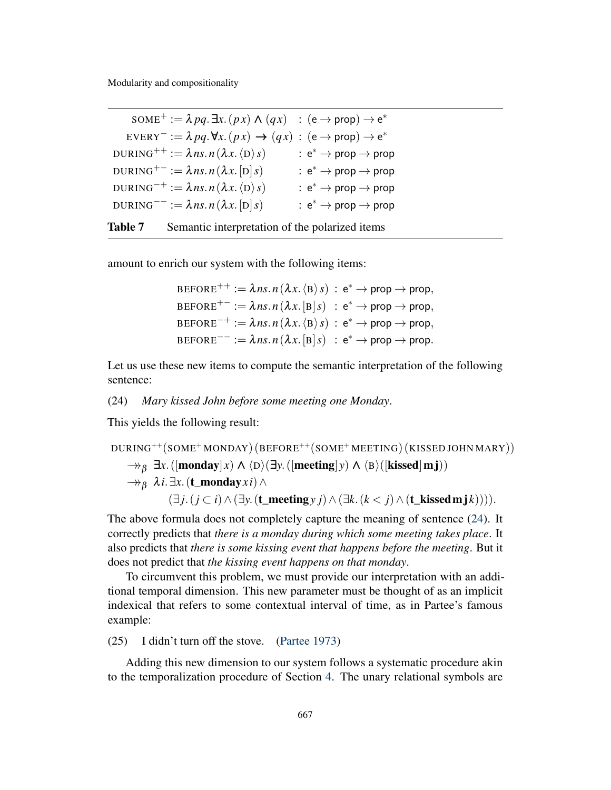$\text{SOME}^+ := \lambda pq \cdot \exists x. (px) \wedge (qx) \; : \; (\text{e} \rightarrow \text{prop}) \rightarrow \text{e}^*$  $\text{EVERY}^- := \lambda pq. \forall x. (px) \rightarrow (qx) : (\text{e} \rightarrow \text{prop}) \rightarrow \text{e}^*$  $\text{DURING}^{++} := \lambda \mathit{ns.n}\left(\lambda x.\left\langle \text{D}\right\rangle s\right) \qquad\qquad : \text{e}^* \to \text{prop} \to \text{prop}$  $\text{DURING}^{+-} := \lambda \, ns.n \, (\lambda x.\text{[D]} \, s) \qquad \qquad : \, \text{e}^* \to \text{prop} \to \text{prop}$  $\text{DURING}^{-+} := \lambda \mathit{ns}. \mathit{n} \left( \lambda \mathit{x}. \left\langle \mathrm{D} \right\rangle s \right) \qquad \quad : \, \mathrm{e}^* \to \mathrm{prop} \to \mathrm{prop}$  $\text{DURING}^{--} := \lambda \, ns.n \, (\lambda x.\text{[D]}s) \qquad \qquad : \text{e}^* \to \text{prop} \to \text{prop}$ Table 7 Semantic interpretation of the polarized items

amount to enrich our system with the following items:

<span id="page-11-0"></span>
$$
BEFORE^{++} := \lambda ns.n (\lambda x. \langle B \rangle s) : e^* \to prop \to prop,
$$
  
\n
$$
BEFORE^{+-} := \lambda ns.n (\lambda x. [B] s) : e^* \to prop \to prop,
$$
  
\n
$$
BEFORE^{-+} := \lambda ns.n (\lambda x. \langle B \rangle s) : e^* \to prop \to prop,
$$
  
\n
$$
BEFORE^{--} := \lambda ns.n (\lambda x. [B] s) : e^* \to prop \to prop.
$$

Let us use these new items to compute the semantic interpretation of the following sentence:

#### <span id="page-11-1"></span>(24) *Mary kissed John before some meeting one Monday*.

This yields the following result:

DURING<sup>++</sup>(SOME<sup>+</sup> MONDAY) (BEFORE<sup>++</sup>(SOME<sup>+</sup> MEETING) (KISSED JOHN MARY))

\n
$$
\rightarrow_{\beta} \exists x. ([\mathbf{monday}]x) \land \langle D \rangle (\exists y. ([\mathbf{meeting}]y) \land \langle B \rangle ([\mathbf{kised}]m\mathbf{j}))
$$
\n
$$
\rightarrow_{\beta} \lambda i. \exists x. (\mathbf{t\_monday}xi) \land (\exists y. (\mathbf{t\_meeting}y) \land (\exists k. (k < j) \land (\mathbf{t\_kised}m\mathbf{j}k))))
$$

The above formula does not completely capture the meaning of sentence [\(24\)](#page-11-1). It correctly predicts that *there is a monday during which some meeting takes place*. It also predicts that *there is some kissing event that happens before the meeting*. But it does not predict that *the kissing event happens on that monday*.

To circumvent this problem, we must provide our interpretation with an additional temporal dimension. This new parameter must be thought of as an implicit indexical that refers to some contextual interval of time, as in Partee's famous example:

(25) I didn't turn off the stove. [\(Partee](#page-18-9) [1973\)](#page-18-9)

Adding this new dimension to our system follows a systematic procedure akin to the temporalization procedure of Section [4.](#page-6-0) The unary relational symbols are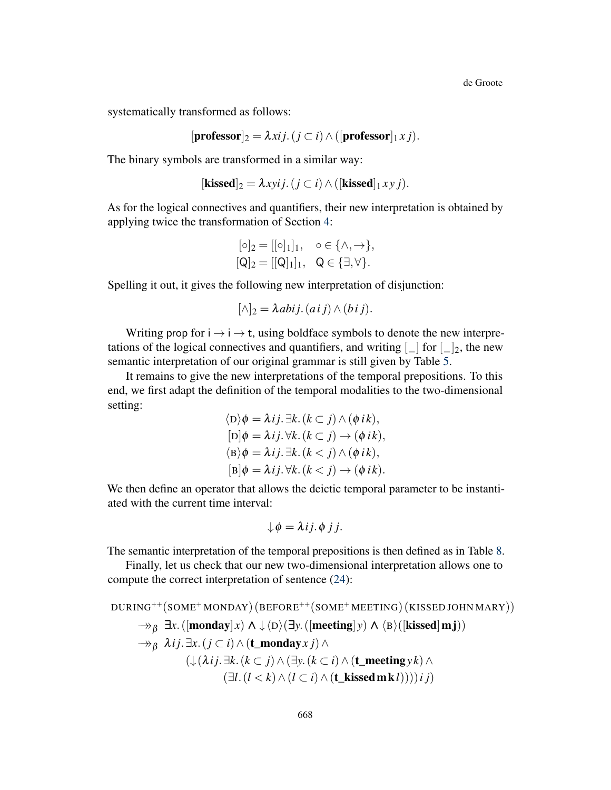de Groote

systematically transformed as follows:

$$
[\mathbf{professor}]_2 = \lambda xij. (j \subset i) \wedge ([\mathbf{professor}]_1 x j).
$$

The binary symbols are transformed in a similar way:

$$
[\mathbf{kissed}]_2 = \lambda xyij. (j \subset i) \wedge ([\mathbf{kissed}]_1 xy j).
$$

As for the logical connectives and quantifiers, their new interpretation is obtained by applying twice the transformation of Section [4:](#page-6-0)

$$
\begin{aligned} [\circ]_2 &= [[\circ]_1]_1, & \circ \in \{\land, \to\}, \\ [\mathsf{Q}]_2 &= [[\mathsf{Q}]_1]_1, & \mathsf{Q} \in \{\exists, \forall\}. \end{aligned}
$$

Spelling it out, it gives the following new interpretation of disjunction:

$$
[\wedge]_2 = \lambda \, abij. \, (aij) \wedge (bij).
$$

Writing prop for  $i \rightarrow i \rightarrow t$ , using boldface symbols to denote the new interpretations of the logical connectives and quantifiers, and writing  $\lfloor \cdot \rfloor$  for  $\lfloor \cdot \rfloor_2$ , the new semantic interpretation of our original grammar is still given by Table [5.](#page-8-1)

It remains to give the new interpretations of the temporal prepositions. To this end, we first adapt the definition of the temporal modalities to the two-dimensional setting:

$$
\langle D \rangle \phi = \lambda i j. \exists k. (k \subset j) \land (\phi i k),
$$
  
\n
$$
[D] \phi = \lambda i j. \forall k. (k \subset j) \rightarrow (\phi i k),
$$
  
\n
$$
\langle B \rangle \phi = \lambda i j. \exists k. (k < j) \land (\phi i k),
$$
  
\n
$$
[B] \phi = \lambda i j. \forall k. (k < j) \rightarrow (\phi i k).
$$

We then define an operator that allows the deictic temporal parameter to be instantiated with the current time interval:

$$
\downarrow \phi = \lambda i j. \phi j j.
$$

The semantic interpretation of the temporal prepositions is then defined as in Table [8.](#page-13-0)

Finally, let us check that our new two-dimensional interpretation allows one to compute the correct interpretation of sentence [\(24\)](#page-11-1):

```
DURING++(SOME+ MONDAY) (BEFORE++(SOME+ MEETING) (KISSED JOHN MARY))
        \rightarrow<sub>B</sub> \existsx.([monday] x) \land \downarrow \langle D \rangle(\existsy.([meeting] y) \land \langle B \rangle([kissed] m j))
        \rightarrow<sub>B</sub> \lambdai j. \existsx. (j \subset i) \wedge (t_mondayx j) \wedge(\downarrow (\lambdai j. ∃k. (k ⊂ j) ∧ (∃y. (k ⊂ i) ∧ (t_meeting yk) ∧
                                   (\exists l. (l < k) \land (l \subset i) \land (\mathbf{t\_kised m k}l))))i j)
```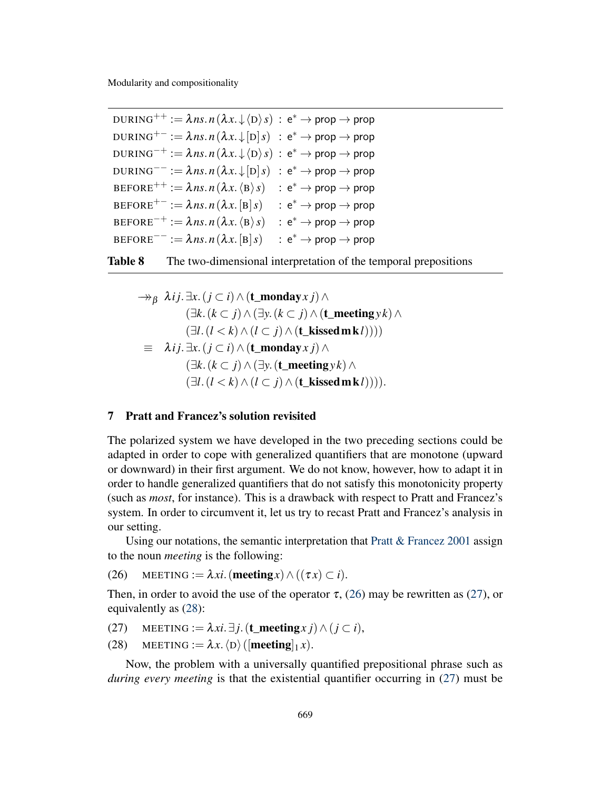$\texttt{DURING}^{++}:=\pmb{\lambda} \textit{ns}. \textit{n}\left(\pmb{\lambda} \textit{x}. \downarrow \langle \texttt{D} \rangle \textit{s} \right) \,:\, \texttt{e}^* \rightarrow \textsf{prop} \rightarrow \textsf{prop}$  $\texttt{DURING}^{+-}:=\pmb{\lambda} \textit{ns}. \textit{n}\left(\pmb{\lambda} x.\!\downarrow\![\texttt{D}]\textit{s}\right) \,\,:\,\texttt{e}^* \rightarrow \textsf{prop} \rightarrow \textsf{prop}$  $\text{DURING}^{-+} := \lambda \mathit{ns.n}\left(\lambda x.\!\downarrow\!\langle\text{D}\rangle s\right) \, \colon \text{e}^* \to \text{prop} \to \text{prop}$  $\texttt{DURING}^{--}:=\lambda\mathit{ns}.\mathit{n}\left(\lambda\mathit{x}\ldotp\mathit{\downarrow}\left[\mathrm{D}\right]\mathit{s}\right) \,\,:\,\mathsf{e}^{*}\to\mathsf{prop}\to\mathsf{prop}$  $\mathsf{BEFORE}^{++} := \pmb{\lambda} \mathit{ns}. \mathit{n}\left(\pmb{\lambda}\mathit{x}. \left\langle \texttt{B} \right\rangle\mathit{s} \right) \quad : \, \texttt{e}^* \rightarrow \textsf{prop} \rightarrow \textsf{prop}$  $\texttt{BEFORE}^{+-} := \pmb{\lambda} \textit{ns}. \textit{n} \left( \pmb{\lambda} \textit{x} \ldotp \textcolor{red}{\left[ \textbf{B} \right]}\textit{s} \right) \quad : \textbf{e}^* \rightarrow \textsf{prop} \rightarrow \textsf{prop}$  $\texttt{BEFORE}^{-+} := \lambda \mathit{ns}. \mathit{n}\left(\lambda\mathit{x}. \left\langle \texttt{B} \right\rangle\mathit{s} \right) \quad : \texttt{e}^* \rightarrow \texttt{prop} \rightarrow \texttt{prop}$  $\texttt{BEFORE}^{--} := \lambda \mathit{ns}. \mathit{n} \left( \lambda \mathit{x}.\big[\mathtt{B}\big] \mathit{s} \right) \quad : \, \mathsf{e}^* \to \mathsf{prop} \to \mathsf{prop}$ 



<span id="page-13-0"></span>
$$
\Rightarrow_{\beta} \lambda_{ij}.\exists x. (j \subset i) \land (\mathbf{t\_monday} x j) \land \n(\exists k. (k \subset j) \land (\exists y. (k \subset j) \land (\mathbf{t\_meeting} y k) \land \n(\exists l. (l < k) \land (l \subset j) \land (\mathbf{t\_kisedmk} l))))\n\equiv \lambda_{ij}.\exists x. (j \subset i) \land (\mathbf{t\_monday} x j) \land \n(\exists k. (k \subset j) \land (\exists y. (\mathbf{t\_meeting} y k) \land \n(\exists l. (l < k) \land (l \subset j) \land (\mathbf{t\_kisedmk} l)))).
$$

## <span id="page-13-4"></span>7 Pratt and Francez's solution revisited

The polarized system we have developed in the two preceding sections could be adapted in order to cope with generalized quantifiers that are monotone (upward or downward) in their first argument. We do not know, however, how to adapt it in order to handle generalized quantifiers that do not satisfy this monotonicity property (such as *most*, for instance). This is a drawback with respect to Pratt and Francez's system. In order to circumvent it, let us try to recast Pratt and Francez's analysis in our setting.

Using our notations, the semantic interpretation that [Pratt & Francez](#page-18-0) [2001](#page-18-0) assign to the noun *meeting* is the following:

<span id="page-13-1"></span>(26) MEETING :=  $\lambda xi$ . (meeting *x*)  $\wedge$  (( $\tau x$ )  $\subset i$ ).

Then, in order to avoid the use of the operator  $\tau$ , [\(26\)](#page-13-1) may be rewritten as [\(27\)](#page-13-2), or equivalently as [\(28\)](#page-13-3):

- <span id="page-13-2"></span>(27) MEETING :=  $\lambda xi.\exists j.$  (**t\_meeting***x j*)  $\wedge$  (*j* ⊂ *i*),
- <span id="page-13-3"></span>(28) MEETING :=  $\lambda x. \langle D \rangle$  ([**meeting**]<sub>1</sub>*x*).

Now, the problem with a universally quantified prepositional phrase such as *during every meeting* is that the existential quantifier occurring in [\(27\)](#page-13-2) must be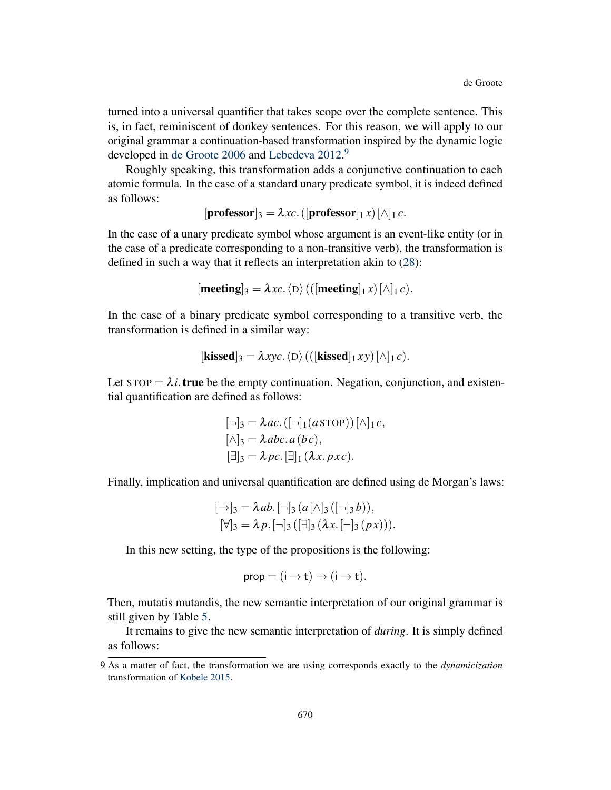turned into a universal quantifier that takes scope over the complete sentence. This is, in fact, reminiscent of donkey sentences. For this reason, we will apply to our original grammar a continuation-based transformation inspired by the dynamic logic developed in [de Groote](#page-18-10) [2006](#page-18-10) and [Lebedeva](#page-18-11) [2012.](#page-18-11)<sup>[9](#page-0-0)</sup>

Roughly speaking, this transformation adds a conjunctive continuation to each atomic formula. In the case of a standard unary predicate symbol, it is indeed defined as follows:

$$
[\mathbf{professor}]_3 = \lambda xc. ([\mathbf{professor}]_1 x) [\wedge]_1 c.
$$

In the case of a unary predicate symbol whose argument is an event-like entity (or in the case of a predicate corresponding to a non-transitive verb), the transformation is defined in such a way that it reflects an interpretation akin to [\(28\)](#page-13-3):

$$
[meeting]_3 = \lambda xc. \langle D \rangle (([meeting]_1 x) [\land]_1 c).
$$

In the case of a binary predicate symbol corresponding to a transitive verb, the transformation is defined in a similar way:

$$
[\mathbf{kissed}]_3 = \lambda xyc. \langle D \rangle (([\mathbf{kissed}]_1 xy) [\wedge]_1 c).
$$

Let  $STOP = \lambda i$ . **true** be the empty continuation. Negation, conjunction, and existential quantification are defined as follows:

$$
[\neg]_3 = \lambda ac. ([\neg]_1(a \text{STOP})) [\wedge]_1 c,[\wedge]_3 = \lambda abc. a(bc),[\exists]_3 = \lambda pc. [\exists]_1 (\lambda x. pxc).
$$

Finally, implication and universal quantification are defined using de Morgan's laws:

$$
[\rightarrow]_3 = \lambda ab. [\neg]_3 (a [\wedge]_3 ([\neg]_3 b)),
$$
  

$$
[\forall]_3 = \lambda p. [\neg]_3 ([\exists]_3 (\lambda x. [\neg]_3 (px))).
$$

In this new setting, the type of the propositions is the following:

$$
prop = (i \rightarrow t) \rightarrow (i \rightarrow t).
$$

Then, mutatis mutandis, the new semantic interpretation of our original grammar is still given by Table [5.](#page-8-1)

It remains to give the new semantic interpretation of *during*. It is simply defined as follows:

<sup>9</sup> As a matter of fact, the transformation we are using corresponds exactly to the *dynamicization* transformation of [Kobele](#page-18-12) [2015.](#page-18-12)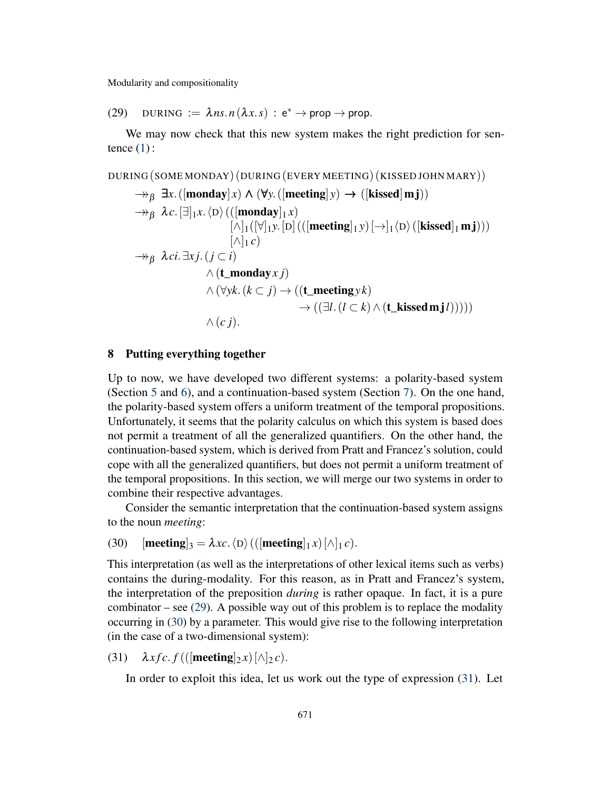<span id="page-15-0"></span>(29) DURING :=  $\lambda ns.n(\lambda x.s)$  :  $e^* \rightarrow prop \rightarrow prop$ .

We may now check that this new system makes the right prediction for sentence  $(1)$ :

DURING (SOME MONDAY) (DURING (EVERY MEETING) (KISSED JOHN MARY))

$$
\Rightarrow_{\beta} \exists x. ([\mathbf{monday}]x) \land (\forall y. ([\mathbf{meeting}]y) \rightarrow ([\mathbf{kissed}]m\mathbf{j}))
$$
  
\n
$$
\Rightarrow_{\beta} \lambda c. [\exists]_{1}x. \langle D \rangle (([\mathbf{monday}]_{1}x) \qquad [\wedge]_{1}([\forall]_{1}y. [D] (([\mathbf{meeting}]_{1}y) [\rightarrow]_{1} \langle D \rangle ([\mathbf{kissed}]_{1}m\mathbf{j})))
$$
  
\n
$$
\Rightarrow_{\beta} \lambda ci. \exists xj. (j \subset i)
$$
  
\n
$$
\land (\mathbf{t\_monday}x j) \qquad \land (\forall yk. (k \subset j) \rightarrow ((\mathbf{t\_meeting}yk) \rightarrow ((\exists l. (l \subset k) \land (\mathbf{t\_kissed}m\mathbf{j}l))))
$$
  
\n
$$
\land (cj).
$$

#### 8 Putting everything together

Up to now, we have developed two different systems: a polarity-based system (Section [5](#page-8-0) and [6\)](#page-10-1), and a continuation-based system (Section [7\)](#page-13-4). On the one hand, the polarity-based system offers a uniform treatment of the temporal propositions. Unfortunately, it seems that the polarity calculus on which this system is based does not permit a treatment of all the generalized quantifiers. On the other hand, the continuation-based system, which is derived from Pratt and Francez's solution, could cope with all the generalized quantifiers, but does not permit a uniform treatment of the temporal propositions. In this section, we will merge our two systems in order to combine their respective advantages.

Consider the semantic interpretation that the continuation-based system assigns to the noun *meeting*:

<span id="page-15-1"></span>(30)  $[\text{meeting}]_3 = \lambda x c.\langle D \rangle (([\text{meeting}]_1 x)[\wedge]_1 c).$ 

This interpretation (as well as the interpretations of other lexical items such as verbs) contains the during-modality. For this reason, as in Pratt and Francez's system, the interpretation of the preposition *during* is rather opaque. In fact, it is a pure combinator – see  $(29)$ . A possible way out of this problem is to replace the modality occurring in [\(30\)](#page-15-1) by a parameter. This would give rise to the following interpretation (in the case of a two-dimensional system):

<span id="page-15-2"></span>(31)  $\lambda x f c. f(([\text{meeting}]_2 x) [\wedge]_2 c).$ 

In order to exploit this idea, let us work out the type of expression [\(31\)](#page-15-2). Let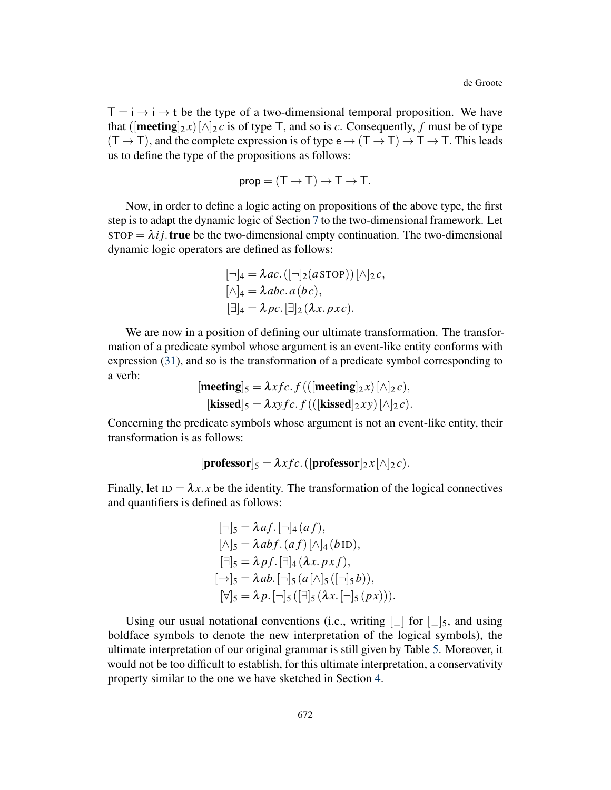$T = i \rightarrow i \rightarrow t$  be the type of a two-dimensional temporal proposition. We have that ( $[\text{meeting}]_{2} x$ ) $[\wedge]_{2} c$  is of type T, and so is *c*. Consequently, *f* must be of type  $(T \to T)$ , and the complete expression is of type  $e \to (T \to T) \to T \to T$ . This leads us to define the type of the propositions as follows:

$$
prop = (T \to T) \to T \to T.
$$

Now, in order to define a logic acting on propositions of the above type, the first step is to adapt the dynamic logic of Section [7](#page-13-4) to the two-dimensional framework. Let  $STOP = \lambda ij$ . true be the two-dimensional empty continuation. The two-dimensional dynamic logic operators are defined as follows:

$$
[\neg]_4 = \lambda ac. ([\neg]_2(a \text{STOP})) [\wedge]_2 c,[\wedge]_4 = \lambda abc. a(bc),[\exists]_4 = \lambda pc. [\exists]_2 (\lambda x. pxc).
$$

We are now in a position of defining our ultimate transformation. The transformation of a predicate symbol whose argument is an event-like entity conforms with expression [\(31\)](#page-15-2), and so is the transformation of a predicate symbol corresponding to a verb:

$$
[\text{meeting}]_5 = \lambda x f c. f(([\text{meeting}]_2 x) [\land]_2 c),
$$
  

$$
[\text{kissed}]_5 = \lambda x y f c. f(([\text{kissed}]_2 xy) [\land]_2 c).
$$

Concerning the predicate symbols whose argument is not an event-like entity, their transformation is as follows:

```
[\mathbf{professor}]_5 = \lambda x f c.([\mathbf{professor}]_2 x [\wedge]_2 c).
```
Finally, let  $ID = \lambda x \cdot x$  be the identity. The transformation of the logical connectives and quantifiers is defined as follows:

$$
[\neg]_5 = \lambda af. [\neg]_4 (af),
$$
  
\n
$$
[\wedge]_5 = \lambda abf. (af) [\wedge]_4 (b \text{ ID}),
$$
  
\n
$$
[\exists]_5 = \lambda pf. [\exists]_4 (\lambda x. pxf),
$$
  
\n
$$
[\rightarrow]_5 = \lambda ab. [\neg]_5 (a [\wedge]_5 ([\neg]_5 b)),
$$
  
\n
$$
[\forall]_5 = \lambda p. [\neg]_5 ([\exists]_5 (\lambda x. [\neg]_5 (px))).
$$

Using our usual notational conventions (i.e., writing  $\lceil \cdot \rceil$  for  $\lceil \cdot \rceil$ , and using boldface symbols to denote the new interpretation of the logical symbols), the ultimate interpretation of our original grammar is still given by Table [5.](#page-8-1) Moreover, it would not be too difficult to establish, for this ultimate interpretation, a conservativity property similar to the one we have sketched in Section [4.](#page-6-0)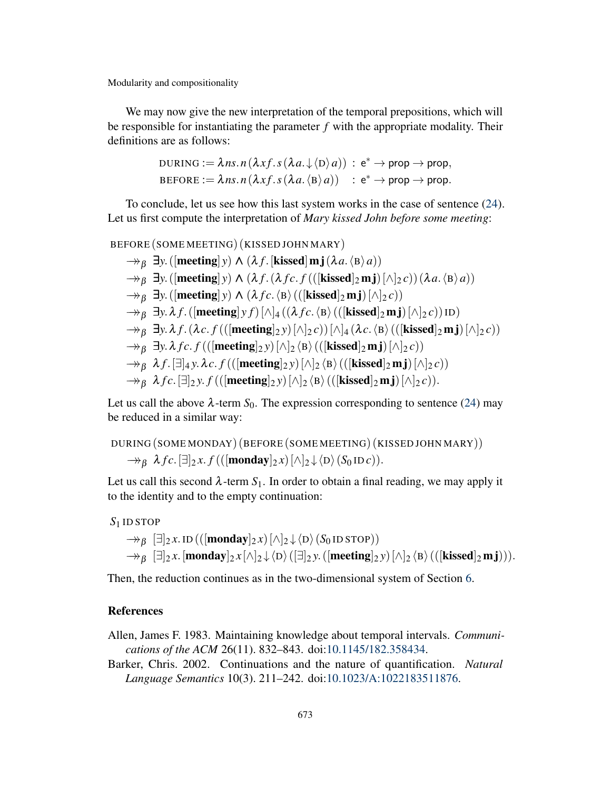We may now give the new interpretation of the temporal prepositions, which will be responsible for instantiating the parameter *f* with the appropriate modality. Their definitions are as follows:

DURING := 
$$
\lambda n s.n(\lambda x f.s(\lambda a.\downarrow \langle D \rangle a)) : e^* \to \text{prop} \to \text{prop},
$$

\nBEFORE :=  $\lambda n s.n(\lambda x f.s(\lambda a.\langle B \rangle a)) : e^* \to \text{prop} \to \text{prop}.$ 

To conclude, let us see how this last system works in the case of sentence [\(24\)](#page-11-1). Let us first compute the interpretation of *Mary kissed John before some meeting*:

BEFORE (SOME MEETING) (KISSED JOHN MARY)

$$
\Rightarrow_{\beta} \exists y. ([\text{meeting}] y) \land (\lambda f. [\text{kissed}] m j (\lambda a. \langle B \rangle a))
$$
  
\n
$$
\Rightarrow_{\beta} \exists y. ([\text{meeting}] y) \land (\lambda f. (\lambda f c. f (([\text{kissed}]_2 m j) [\land]_2 c)) (\lambda a. \langle B \rangle a))
$$
  
\n
$$
\Rightarrow_{\beta} \exists y. ([\text{meeting}] y) \land (\lambda f c. \langle B \rangle (([\text{kissed}]_2 m j) [\land]_2 c))
$$
  
\n
$$
\Rightarrow_{\beta} \exists y. \lambda f. ([\text{meeting}] y f) [\land]_4 ((\lambda f c. \langle B \rangle (([\text{kissed}]_2 m j) [\land]_2 c)) \text{ID})
$$
  
\n
$$
\Rightarrow_{\beta} \exists y. \lambda f. (\lambda c. f (([\text{meeting}]_2 y) [\land]_2 c)) [\land]_4 (\lambda c. \langle B \rangle (([\text{kissed}]_2 m j) [\land]_2 c))
$$
  
\n
$$
\Rightarrow_{\beta} \exists y. \lambda f c. f (([\text{meeting}]_2 y) [\land]_2 \langle B \rangle (([\text{kissed}]_2 m j) [\land]_2 c))
$$
  
\n
$$
\Rightarrow_{\beta} \lambda f. [\exists]_4 y. \lambda c. f (([\text{meeting}]_2 y) [\land]_2 \langle B \rangle (([\text{kissed}]_2 m j) [\land]_2 c))
$$
  
\n
$$
\Rightarrow_{\beta} \lambda f c. [\exists]_2 y. f (([\text{meeting}]_2 y) [\land]_2 \langle B \rangle (([\text{kissed}]_2 m j) [\land]_2 c)).
$$

Let us call the above  $\lambda$ -term  $S_0$ . The expression corresponding to sentence [\(24\)](#page-11-1) may be reduced in a similar way:

```
DURING (SOME MONDAY) (BEFORE (SOME MEETING) (KISSED JOHN MARY))
     \rightarrow<sub>β</sub> \lambdafc.[∃]<sub>2</sub>x. f(([monday]<sub>2</sub>x)[\wedge]<sub>2</sub> \downarrow \langleD\rangle(S<sub>0</sub> IDc)).
```
Let us call this second  $\lambda$ -term  $S_1$ . In order to obtain a final reading, we may apply it to the identity and to the empty continuation:

#### *S*<sup>1</sup> ID STOP

$$
\neg\neg_{\beta} [\exists]_2 x. \text{ID}((\text{[monday]}_2 x) [\land]_2 \downarrow \langle D \rangle (S_0 \text{ID STOP}))
$$
  

$$
\rightarrow_{\beta} [\exists]_2 x. [\text{monday}]_2 x [\land]_2 \downarrow \langle D \rangle (\exists]_2 y. (\text{[meeting]}_2 y) [\land]_2 \langle B \rangle ((\text{[kissed]}_2 \text{mj}))).
$$

Then, the reduction continues as in the two-dimensional system of Section [6.](#page-10-1)

## References

<span id="page-17-0"></span>Allen, James F. 1983. Maintaining knowledge about temporal intervals. *Communications of the ACM* 26(11). 832–843. doi[:10.1145/182.358434.](http://dx.doi.org/10.1145/182.358434)

Barker, Chris. 2002. Continuations and the nature of quantification. *Natural Language Semantics* 10(3). 211–242. doi[:10.1023/A:1022183511876.](http://dx.doi.org/10.1023/A:1022183511876)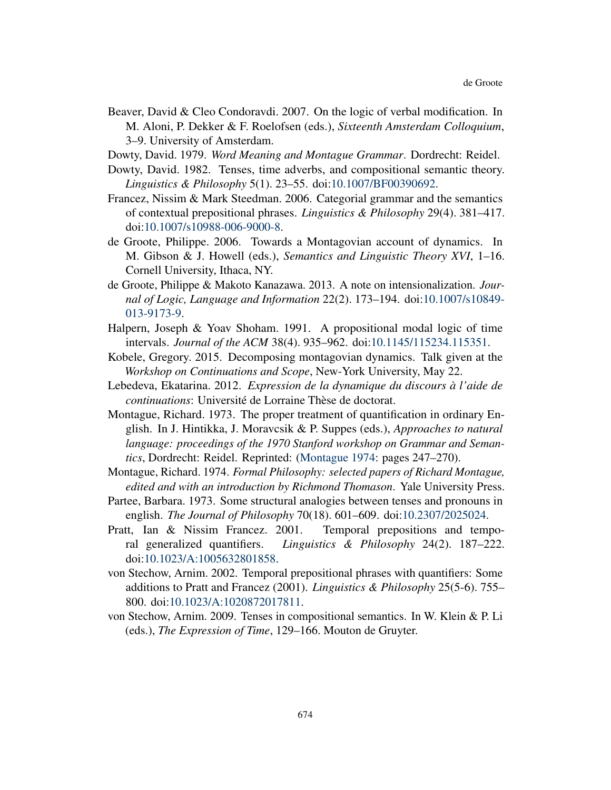- Beaver, David & Cleo Condoravdi. 2007. On the logic of verbal modification. In M. Aloni, P. Dekker & F. Roelofsen (eds.), *Sixteenth Amsterdam Colloquium*, 3–9. University of Amsterdam.
- <span id="page-18-1"></span>Dowty, David. 1979. *Word Meaning and Montague Grammar*. Dordrecht: Reidel.
- <span id="page-18-2"></span>Dowty, David. 1982. Tenses, time adverbs, and compositional semantic theory. *Linguistics & Philosophy* 5(1). 23–55. doi[:10.1007/BF00390692.](http://dx.doi.org/10.1007/BF00390692)
- <span id="page-18-3"></span>Francez, Nissim & Mark Steedman. 2006. Categorial grammar and the semantics of contextual prepositional phrases. *Linguistics & Philosophy* 29(4). 381–417. doi[:10.1007/s10988-006-9000-8.](http://dx.doi.org/10.1007/s10988-006-9000-8)
- <span id="page-18-10"></span>de Groote, Philippe. 2006. Towards a Montagovian account of dynamics. In M. Gibson & J. Howell (eds.), *Semantics and Linguistic Theory XVI*, 1–16. Cornell University, Ithaca, NY.
- <span id="page-18-8"></span>de Groote, Philippe & Makoto Kanazawa. 2013. A note on intensionalization. *Journal of Logic, Language and Information* 22(2). 173–194. doi[:10.1007/s10849-](http://dx.doi.org/10.1007/s10849-013-9173-9) [013-9173-9.](http://dx.doi.org/10.1007/s10849-013-9173-9)
- <span id="page-18-7"></span>Halpern, Joseph & Yoav Shoham. 1991. A propositional modal logic of time intervals. *Journal of the ACM* 38(4). 935–962. doi[:10.1145/115234.115351.](http://dx.doi.org/10.1145/115234.115351)
- <span id="page-18-12"></span>Kobele, Gregory. 2015. Decomposing montagovian dynamics. Talk given at the *Workshop on Continuations and Scope*, New-York University, May 22.
- <span id="page-18-11"></span>Lebedeva, Ekatarina. 2012. *Expression de la dynamique du discours à l'aide de continuations*: Université de Lorraine Thèse de doctorat.
- <span id="page-18-6"></span>Montague, Richard. 1973. The proper treatment of quantification in ordinary English. In J. Hintikka, J. Moravcsik & P. Suppes (eds.), *Approaches to natural language: proceedings of the 1970 Stanford workshop on Grammar and Semantics*, Dordrecht: Reidel. Reprinted: [\(Montague](#page-18-13) [1974:](#page-18-13) pages 247–270).
- <span id="page-18-13"></span>Montague, Richard. 1974. *Formal Philosophy: selected papers of Richard Montague, edited and with an introduction by Richmond Thomason*. Yale University Press.
- <span id="page-18-9"></span>Partee, Barbara. 1973. Some structural analogies between tenses and pronouns in english. *The Journal of Philosophy* 70(18). 601–609. doi[:10.2307/2025024.](http://dx.doi.org/10.2307/2025024)
- <span id="page-18-0"></span>Pratt, Ian & Nissim Francez. 2001. Temporal prepositions and temporal generalized quantifiers. *Linguistics & Philosophy* 24(2). 187–222. doi[:10.1023/A:1005632801858.](http://dx.doi.org/10.1023/A:1005632801858)
- <span id="page-18-4"></span>von Stechow, Arnim. 2002. Temporal prepositional phrases with quantifiers: Some additions to Pratt and Francez (2001). *Linguistics & Philosophy* 25(5-6). 755– 800. doi[:10.1023/A:1020872017811.](http://dx.doi.org/10.1023/A:1020872017811)
- <span id="page-18-5"></span>von Stechow, Arnim. 2009. Tenses in compositional semantics. In W. Klein & P. Li (eds.), *The Expression of Time*, 129–166. Mouton de Gruyter.